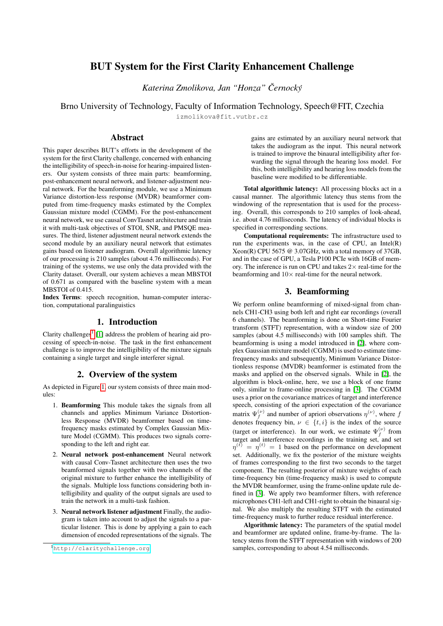# BUT System for the First Clarity Enhancement Challenge

*Katerina Zmolikova, Jan "Honza" Cernock ˇ y´*

Brno University of Technology, Faculty of Information Technology, Speech@FIT, Czechia

izmolikova@fit.vutbr.cz

## Abstract

This paper describes BUT's efforts in the development of the system for the first Clarity challenge, concerned with enhancing the intelligibility of speech-in-noise for hearing-impaired listeners. Our system consists of three main parts: beamforming, post-enhancement neural network, and listener-adjustment neural network. For the beamforming module, we use a Minimum Variance distortion-less response (MVDR) beamformer computed from time-frequency masks estimated by the Complex Gaussian mixture model (CGMM). For the post-enhancement neural network, we use causal ConvTasnet architecture and train it with multi-task objectives of STOI, SNR, and PMSQE measures. The third, listener adjustment neural network extends the second module by an auxiliary neural network that estimates gains based on listener audiogram. Overall algorithmic latency of our processing is 210 samples (about 4.76 milliseconds). For training of the systems, we use only the data provided with the Clarity dataset. Overall, our system achieves a mean MBSTOI of 0.671 as compared with the baseline system with a mean MBSTOI of 0.415.

Index Terms: speech recognition, human-computer interaction, computational paralinguistics

# 1. Introduction

Clarity challenges<sup>[1](#page-0-0)</sup> [\[1\]](#page-2-0) address the problem of hearing aid processing of speech-in-noise. The task in the first enhancement challenge is to improve the intelligibility of the mixture signals containing a single target and single interferer signal.

## 2. Overview of the system

As depicted in Figure [1,](#page-1-0) our system consists of three main modules:

- 1. Beamforming This module takes the signals from all channels and applies Minimum Variance Distortionless Response (MVDR) beamformer based on timefrequency masks estimated by Complex Gaussian Mixture Model (CGMM). This produces two signals corresponding to the left and right ear.
- 2. Neural network post-enhancement Neural network with causal Conv-Tasnet architecture then uses the two beamformed signals together with two channels of the original mixture to further enhance the intelligibility of the signals. Multiple loss functions considering both intelligibility and quality of the output signals are used to train the network in a multi-task fashion.
- 3. Neural network listener adjustment Finally, the audiogram is taken into account to adjust the signals to a particular listener. This is done by applying a gain to each dimension of encoded representations of the signals. The

gains are estimated by an auxiliary neural network that takes the audiogram as the input. This neural network is trained to improve the binaural intelligibility after forwarding the signal through the hearing loss model. For this, both intelligibility and hearing loss models from the baseline were modified to be differentiable.

Total algorithmic latency: All processing blocks act in a causal manner. The algorithmic latency thus stems from the windowing of the representation that is used for the processing. Overall, this corresponds to 210 samples of look-ahead, i.e. about 4.76 milliseconds. The latency of individual blocks is specified in corresponding sections.

Computational requirements: The infrastructure used to run the experiments was, in the case of CPU, an Intel $(R)$ Xeon(R) CPU 5675 @ 3.07GHz, with a total memory of 37GB, and in the case of GPU, a Tesla P100 PCIe with 16GB of memory. The inference is run on CPU and takes  $2 \times$  real-time for the beamforming and  $10\times$  real-time for the neural network.

#### 3. Beamforming

We perform online beamforming of mixed-signal from channels CH1-CH3 using both left and right ear recordings (overall 6 channels). The beamforming is done on Short-time Fourier transform (STFT) representation, with a window size of 200 samples (about 4.5 milliseconds) with 100 samples shift. The beamforming is using a model introduced in [\[2\]](#page-2-1), where complex Gaussian mixture model (CGMM) is used to estimate timefrequency masks and subsequently, Minimum Variance Distortionless response (MVDR) beamformer is estimated from the masks and applied on the observed signals. While in [\[2\]](#page-2-1), the algorithm is block-online, here, we use a block of one frame only, similar to frame-online processing in [\[3\]](#page-2-2). The CGMM uses a prior on the covariance matrices of target and interference speech, consisting of the apriori expectation of the covariance matrix  $\Psi_f^{(\nu)}$  and number of apriori observations  $\eta^{(\nu)}$ , where f denotes frequency bin,  $\nu \in \{t, i\}$  is the index of the source (target or interference). In our work, we estimate  $\Psi_f^{(\nu)}$  from target and interference recordings in the training set, and set  $\eta^{(t)} = \eta^{(t)} = 1$  based on the performance on development set. Additionally, we fix the posterior of the mixture weights of frames corresponding to the first two seconds to the target component. The resulting posterior of mixture weights of each time-frequency bin (time-frequency mask) is used to compute the MVDR beamformer, using the frame-online update rule defined in [\[3\]](#page-2-2). We apply two beamformer filters, with reference microphones CH1-left and CH1-right to obtain the binaural signal. We also multiply the resulting STFT with the estimated time-frequency mask to further reduce residual interference.

Algorithmic latency: The parameters of the spatial model and beamformer are updated online, frame-by-frame. The latency stems from the STFT representation with windows of 200 samples, corresponding to about 4.54 milliseconds.

<span id="page-0-0"></span><sup>1</sup><http://claritychallenge.org>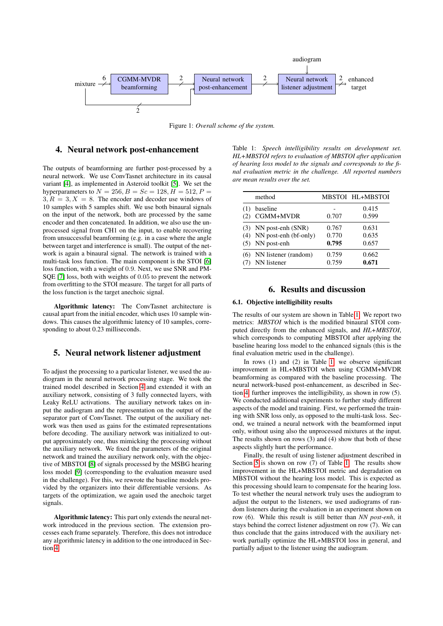<span id="page-1-0"></span>

Figure 1: *Overall scheme of the system.*

## <span id="page-1-1"></span>4. Neural network post-enhancement

The outputs of beamforming are further post-processed by a neural network. We use ConvTasnet architecture in its causal variant [\[4\]](#page-2-3), as implemented in Asteroid toolkit [\[5\]](#page-2-4). We set the hyperparameters to  $N = 256, B = Sc = 128, H = 512, P =$  $3, R = 3, X = 8$ . The encoder and decoder use windows of 10 samples with 5 samples shift. We use both binaural signals on the input of the network, both are processed by the same encoder and then concatenated. In addition, we also use the unprocessed signal from CH1 on the input, to enable recovering from unsuccessful beamforming (e.g. in a case where the angle between target and interference is small). The output of the network is again a binaural signal. The network is trained with a multi-task loss function. The main component is the STOI [\[6\]](#page-2-5) loss function, with a weight of 0.9. Next, we use SNR and PM-SQE [\[7\]](#page-2-6) loss, both with weights of 0.05 to prevent the network from overfitting to the STOI measure. The target for all parts of the loss function is the target anechoic signal.

Algorithmic latency: The ConvTasnet architecture is causal apart from the initial encoder, which uses 10 sample windows. This causes the algorithmic latency of 10 samples, corresponding to about 0.23 milliseconds.

#### <span id="page-1-3"></span>5. Neural network listener adjustment

To adjust the processing to a particular listener, we used the audiogram in the neural network processing stage. We took the trained model described in Section [4](#page-1-1) and extended it with an auxiliary network, consisting of 3 fully connected layers, with Leaky ReLU activations. The auxiliary network takes on input the audiogram and the representation on the output of the separator part of ConvTasnet. The output of the auxiliary network was then used as gains for the estimated representations before decoding. The auxiliary network was initialized to output approximately one, thus mimicking the processing without the auxiliary network. We fixed the parameters of the original network and trained the auxiliary network only, with the objective of MBSTOI [\[8\]](#page-2-7) of signals processed by the MSBG hearing loss model [\[9\]](#page-2-8) (corresponding to the evaluation measure used in the challenge). For this, we rewrote the baseline models provided by the organizers into their differentiable versions. As targets of the optimization, we again used the anechoic target signals.

Algorithmic latency: This part only extends the neural network introduced in the previous section. The extension processes each frame separately. Therefore, this does not introduce any algorithmic latency in addition to the one introduced in Section [4.](#page-1-1)

<span id="page-1-2"></span>Table 1: *Speech intelligibility results on development set. HL+MBSTOI refers to evaluation of MBSTOI after application of hearing loss model to the signals and corresponds to the final evaluation metric in the challenge. All reported numbers are mean results over the set.*

|     | method                      |       | MBSTOI HL+MBSTOI |
|-----|-----------------------------|-------|------------------|
| (1) | baseline<br>CGMM+MVDR       | 0.707 | 0.415<br>0.599   |
| (5) | $(3)$ NN post-enh $(SNR)$   | 0.767 | 0.631            |
|     | $(4)$ NN post-enh (bf-only) | 0.770 | 0.635            |
|     | NN post-enh                 | 0.795 | 0.657            |
| (6) | NN listener (random)        | 0.759 | 0.662            |
|     | NN listener                 | 0.759 | 0.671            |

# 6. Results and discussion

#### 6.1. Objective intelligibility results

The results of our system are shown in Table [1.](#page-1-2) We report two metrics: *MBSTOI* which is the modified binaural STOI computed directly from the enhanced signals, and *HL+MBSTOI*, which corresponds to computing MBSTOI after applying the baseline hearing loss model to the enhanced signals (this is the final evaluation metric used in the challenge).

In rows (1) and (2) in Table [1,](#page-1-2) we observe significant improvement in HL+MBSTOI when using CGMM+MVDR beamforming as compared with the baseline processing. The neural network-based post-enhancement, as described in Section [4,](#page-1-1) further improves the intelligibility, as shown in row (5). We conducted additional experiments to further study different aspects of the model and training. First, we performed the training with SNR loss only, as opposed to the multi-task loss. Second, we trained a neural network with the beamformed input only, without using also the unprocessed mixtures at the input. The results shown on rows (3) and (4) show that both of these aspects slightly hurt the performance.

Finally, the result of using listener adjustment described in Section [5](#page-1-3) is shown on row (7) of Table [1.](#page-1-2) The results show improvement in the HL+MBSTOI metric and degradation on MBSTOI without the hearing loss model. This is expected as this processing should learn to compensate for the hearing loss. To test whether the neural network truly uses the audiogram to adjust the output to the listeners, we used audiograms of random listeners during the evaluation in an experiment shown on row (6). While this result is still better than *NN post-enh*, it stays behind the correct listener adjustment on row (7). We can thus conclude that the gains introduced with the auxiliary network partially optimize the HL+MBSTOI loss in general, and partially adjust to the listener using the audiogram.